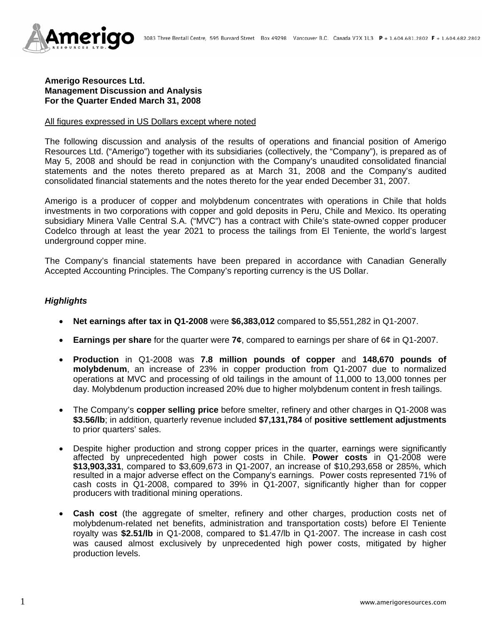

### **Amerigo Resources Ltd. Management Discussion and Analysis For the Quarter Ended March 31, 2008**

#### All figures expressed in US Dollars except where noted

The following discussion and analysis of the results of operations and financial position of Amerigo Resources Ltd. ("Amerigo") together with its subsidiaries (collectively, the "Company"), is prepared as of May 5, 2008 and should be read in conjunction with the Company's unaudited consolidated financial statements and the notes thereto prepared as at March 31, 2008 and the Company's audited consolidated financial statements and the notes thereto for the year ended December 31, 2007.

Amerigo is a producer of copper and molybdenum concentrates with operations in Chile that holds investments in two corporations with copper and gold deposits in Peru, Chile and Mexico. Its operating subsidiary Minera Valle Central S.A. ("MVC") has a contract with Chile's state-owned copper producer Codelco through at least the year 2021 to process the tailings from El Teniente, the world's largest underground copper mine.

The Company's financial statements have been prepared in accordance with Canadian Generally Accepted Accounting Principles. The Company's reporting currency is the US Dollar.

## *Highlights*

- **Net earnings after tax in Q1-2008** were **\$6,383,012** compared to \$5,551,282 in Q1-2007.
- **Earnings per share** for the quarter were **7¢**, compared to earnings per share of 6¢ in Q1-2007.
- **Production** in Q1-2008 was **7.8 million pounds of copper** and **148,670 pounds of molybdenum**, an increase of 23% in copper production from Q1-2007 due to normalized operations at MVC and processing of old tailings in the amount of 11,000 to 13,000 tonnes per day. Molybdenum production increased 20% due to higher molybdenum content in fresh tailings.
- The Company's **copper selling price** before smelter, refinery and other charges in Q1-2008 was **\$3.56/lb**; in addition, quarterly revenue included **\$7,131,784** of **positive settlement adjustments** to prior quarters' sales.
- Despite higher production and strong copper prices in the quarter, earnings were significantly affected by unprecedented high power costs in Chile. **Power costs** in Q1-2008 were **\$13,903,331**, compared to \$3,609,673 in Q1-2007, an increase of \$10,293,658 or 285%, which resulted in a major adverse effect on the Company's earnings. Power costs represented 71% of cash costs in Q1-2008, compared to 39% in Q1-2007, significantly higher than for copper producers with traditional mining operations.
- **Cash cost** (the aggregate of smelter, refinery and other charges, production costs net of molybdenum-related net benefits, administration and transportation costs) before El Teniente royalty was **\$2.51/lb** in Q1-2008, compared to \$1.47/lb in Q1-2007. The increase in cash cost was caused almost exclusively by unprecedented high power costs, mitigated by higher production levels.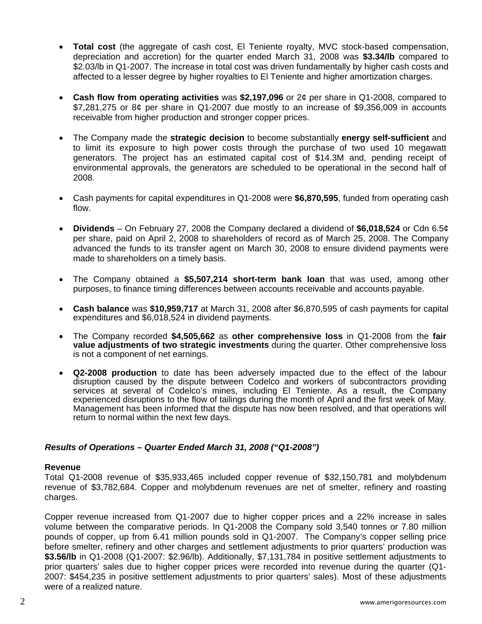- **Total cost** (the aggregate of cash cost, El Teniente royalty, MVC stock-based compensation, depreciation and accretion) for the quarter ended March 31, 2008 was **\$3.34/lb** compared to \$2.03/lb in Q1-2007. The increase in total cost was driven fundamentally by higher cash costs and affected to a lesser degree by higher royalties to El Teniente and higher amortization charges.
- **Cash flow from operating activities** was **\$2,197,096** or 2¢ per share in Q1-2008, compared to  $$7,281,275$  or  $8¢$  per share in Q1-2007 due mostly to an increase of \$9,356,009 in accounts receivable from higher production and stronger copper prices.
- The Company made the **strategic decision** to become substantially **energy self-sufficient** and to limit its exposure to high power costs through the purchase of two used 10 megawatt generators. The project has an estimated capital cost of \$14.3M and, pending receipt of environmental approvals, the generators are scheduled to be operational in the second half of 2008.
- Cash payments for capital expenditures in Q1-2008 were **\$6,870,595**, funded from operating cash flow.
- **Dividends**  On February 27, 2008 the Company declared a dividend of **\$6,018,524** or Cdn 6.5¢ per share, paid on April 2, 2008 to shareholders of record as of March 25, 2008. The Company advanced the funds to its transfer agent on March 30, 2008 to ensure dividend payments were made to shareholders on a timely basis.
- The Company obtained a **\$5,507,214 short-term bank loan** that was used, among other purposes, to finance timing differences between accounts receivable and accounts payable.
- **Cash balance** was **\$10,959,717** at March 31, 2008 after \$6,870,595 of cash payments for capital expenditures and \$6,018,524 in dividend payments.
- The Company recorded **\$4,505,662** as **other comprehensive loss** in Q1-2008 from the **fair value adjustments of two strategic investments** during the quarter. Other comprehensive loss is not a component of net earnings.
- **Q2-2008 production** to date has been adversely impacted due to the effect of the labour disruption caused by the dispute between Codelco and workers of subcontractors providing services at several of Codelco's mines, including El Teniente. As a result, the Company experienced disruptions to the flow of tailings during the month of April and the first week of May. Management has been informed that the dispute has now been resolved, and that operations will return to normal within the next few days.

# *Results of Operations – Quarter Ended March 31, 2008 ("Q1-2008")*

#### **Revenue**

Total Q1-2008 revenue of \$35,933,465 included copper revenue of \$32,150,781 and molybdenum revenue of \$3,782,684. Copper and molybdenum revenues are net of smelter, refinery and roasting charges.

Copper revenue increased from Q1-2007 due to higher copper prices and a 22% increase in sales volume between the comparative periods. In Q1-2008 the Company sold 3,540 tonnes or 7.80 million pounds of copper, up from 6.41 million pounds sold in Q1-2007. The Company's copper selling price before smelter, refinery and other charges and settlement adjustments to prior quarters' production was **\$3.56/lb** in Q1-2008 (Q1-2007: \$2.96/lb). Additionally, \$7,131,784 in positive settlement adjustments to prior quarters' sales due to higher copper prices were recorded into revenue during the quarter (Q1- 2007: \$454,235 in positive settlement adjustments to prior quarters' sales). Most of these adjustments were of a realized nature.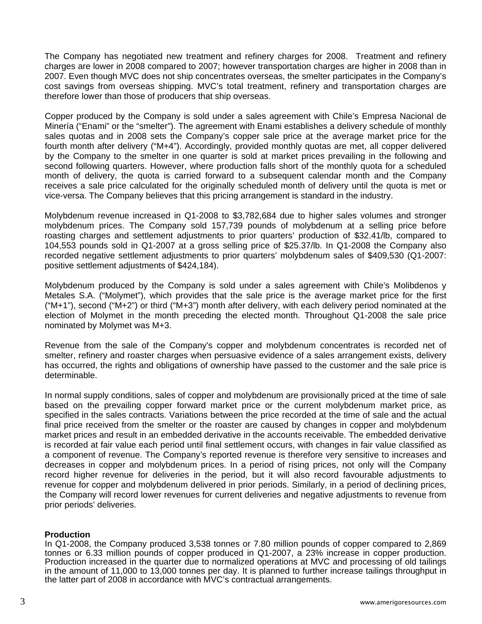The Company has negotiated new treatment and refinery charges for 2008. Treatment and refinery charges are lower in 2008 compared to 2007; however transportation charges are higher in 2008 than in 2007. Even though MVC does not ship concentrates overseas, the smelter participates in the Company's cost savings from overseas shipping. MVC's total treatment, refinery and transportation charges are therefore lower than those of producers that ship overseas.

Copper produced by the Company is sold under a sales agreement with Chile's Empresa Nacional de Minería ("Enami" or the "smelter"). The agreement with Enami establishes a delivery schedule of monthly sales quotas and in 2008 sets the Company's copper sale price at the average market price for the fourth month after delivery ("M+4"). Accordingly, provided monthly quotas are met, all copper delivered by the Company to the smelter in one quarter is sold at market prices prevailing in the following and second following quarters. However, where production falls short of the monthly quota for a scheduled month of delivery, the quota is carried forward to a subsequent calendar month and the Company receives a sale price calculated for the originally scheduled month of delivery until the quota is met or vice-versa. The Company believes that this pricing arrangement is standard in the industry.

Molybdenum revenue increased in Q1-2008 to \$3,782,684 due to higher sales volumes and stronger molybdenum prices. The Company sold 157,739 pounds of molybdenum at a selling price before roasting charges and settlement adjustments to prior quarters' production of \$32.41/lb, compared to 104,553 pounds sold in Q1-2007 at a gross selling price of \$25.37/lb. In Q1-2008 the Company also recorded negative settlement adjustments to prior quarters' molybdenum sales of \$409,530 (Q1-2007: positive settlement adjustments of \$424,184).

Molybdenum produced by the Company is sold under a sales agreement with Chile's Molibdenos y Metales S.A. ("Molymet"), which provides that the sale price is the average market price for the first  $("M+1")$ , second  $("M+2")$  or third  $("M+3")$  month after delivery, with each delivery period nominated at the election of Molymet in the month preceding the elected month. Throughout Q1-2008 the sale price nominated by Molymet was M+3.

Revenue from the sale of the Company's copper and molybdenum concentrates is recorded net of smelter, refinery and roaster charges when persuasive evidence of a sales arrangement exists, delivery has occurred, the rights and obligations of ownership have passed to the customer and the sale price is determinable.

In normal supply conditions, sales of copper and molybdenum are provisionally priced at the time of sale based on the prevailing copper forward market price or the current molybdenum market price, as specified in the sales contracts. Variations between the price recorded at the time of sale and the actual final price received from the smelter or the roaster are caused by changes in copper and molybdenum market prices and result in an embedded derivative in the accounts receivable. The embedded derivative is recorded at fair value each period until final settlement occurs, with changes in fair value classified as a component of revenue. The Company's reported revenue is therefore very sensitive to increases and decreases in copper and molybdenum prices. In a period of rising prices, not only will the Company record higher revenue for deliveries in the period, but it will also record favourable adjustments to revenue for copper and molybdenum delivered in prior periods. Similarly, in a period of declining prices, the Company will record lower revenues for current deliveries and negative adjustments to revenue from prior periods' deliveries.

#### **Production**

In Q1-2008, the Company produced 3,538 tonnes or 7.80 million pounds of copper compared to 2,869 tonnes or 6.33 million pounds of copper produced in Q1-2007, a 23% increase in copper production. Production increased in the quarter due to normalized operations at MVC and processing of old tailings in the amount of 11,000 to 13,000 tonnes per day. It is planned to further increase tailings throughput in the latter part of 2008 in accordance with MVC's contractual arrangements.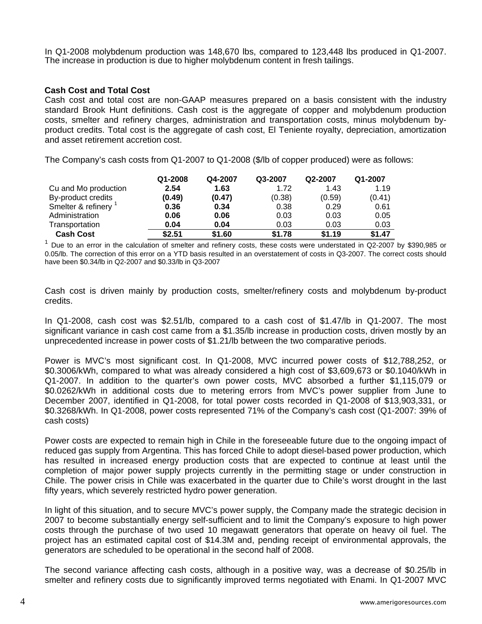In Q1-2008 molybdenum production was 148,670 lbs, compared to 123,448 lbs produced in Q1-2007. The increase in production is due to higher molybdenum content in fresh tailings.

### **Cash Cost and Total Cost**

Cash cost and total cost are non-GAAP measures prepared on a basis consistent with the industry standard Brook Hunt definitions. Cash cost is the aggregate of copper and molybdenum production costs, smelter and refinery charges, administration and transportation costs, minus molybdenum byproduct credits. Total cost is the aggregate of cash cost, El Teniente royalty, depreciation, amortization and asset retirement accretion cost.

The Company's cash costs from Q1-2007 to Q1-2008 (\$/lb of copper produced) were as follows:

|                      | Q1-2008 | Q4-2007 | Q3-2007 | Q2-2007 | Q1-2007 |
|----------------------|---------|---------|---------|---------|---------|
| Cu and Mo production | 2.54    | 1.63    | 1.72    | 1.43    | 1.19    |
| By-product credits   | (0.49)  | (0.47)  | (0.38)  | (0.59)  | (0.41)  |
| Smelter & refinery   | 0.36    | 0.34    | 0.38    | 0.29    | 0.61    |
| Administration       | 0.06    | 0.06    | 0.03    | 0.03    | 0.05    |
| Transportation       | 0.04    | 0.04    | 0.03    | 0.03    | 0.03    |
| <b>Cash Cost</b>     | \$2.51  | \$1.60  | \$1.78  | \$1.19  | \$1.47  |

<sup>1</sup> Due to an error in the calculation of smelter and refinery costs, these costs were understated in Q2-2007 by \$390,985 or 0.05/lb. The correction of this error on a YTD basis resulted in an overstatement of costs in Q3-2007. The correct costs should have been \$0.34/lb in Q2-2007 and \$0.33/lb in Q3-2007

Cash cost is driven mainly by production costs, smelter/refinery costs and molybdenum by-product credits.

In Q1-2008, cash cost was \$2.51/lb, compared to a cash cost of \$1.47/lb in Q1-2007. The most significant variance in cash cost came from a \$1.35/lb increase in production costs, driven mostly by an unprecedented increase in power costs of \$1.21/lb between the two comparative periods.

Power is MVC's most significant cost. In Q1-2008, MVC incurred power costs of \$12,788,252, or \$0.3006/kWh, compared to what was already considered a high cost of \$3,609,673 or \$0.1040/kWh in Q1-2007. In addition to the quarter's own power costs, MVC absorbed a further \$1,115,079 or \$0.0262/kWh in additional costs due to metering errors from MVC's power supplier from June to December 2007, identified in Q1-2008, for total power costs recorded in Q1-2008 of \$13,903,331, or \$0.3268/kWh. In Q1-2008, power costs represented 71% of the Company's cash cost (Q1-2007: 39% of cash costs)

Power costs are expected to remain high in Chile in the foreseeable future due to the ongoing impact of reduced gas supply from Argentina. This has forced Chile to adopt diesel-based power production, which has resulted in increased energy production costs that are expected to continue at least until the completion of major power supply projects currently in the permitting stage or under construction in Chile. The power crisis in Chile was exacerbated in the quarter due to Chile's worst drought in the last fifty years, which severely restricted hydro power generation.

In light of this situation, and to secure MVC's power supply, the Company made the strategic decision in 2007 to become substantially energy self-sufficient and to limit the Company's exposure to high power costs through the purchase of two used 10 megawatt generators that operate on heavy oil fuel. The project has an estimated capital cost of \$14.3M and, pending receipt of environmental approvals, the generators are scheduled to be operational in the second half of 2008.

The second variance affecting cash costs, although in a positive way, was a decrease of \$0.25/lb in smelter and refinery costs due to significantly improved terms negotiated with Enami. In Q1-2007 MVC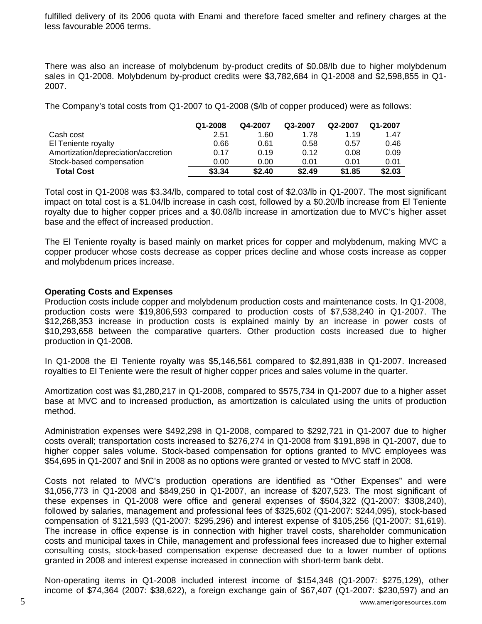fulfilled delivery of its 2006 quota with Enami and therefore faced smelter and refinery charges at the less favourable 2006 terms.

There was also an increase of molybdenum by-product credits of \$0.08/lb due to higher molybdenum sales in Q1-2008. Molybdenum by-product credits were \$3,782,684 in Q1-2008 and \$2,598,855 in Q1- 2007.

The Company's total costs from Q1-2007 to Q1-2008 (\$/lb of copper produced) were as follows:

|                                     | Q1-2008 | Q4-2007 | Q3-2007 | Q2-2007 | Q1-2007 |
|-------------------------------------|---------|---------|---------|---------|---------|
| Cash cost                           | 2.51    | 1.60    | 1.78    | 1.19    | 1.47    |
| El Teniente royalty                 | 0.66    | 0.61    | 0.58    | 0.57    | 0.46    |
| Amortization/depreciation/accretion | 0.17    | 0.19    | 0.12    | 0.08    | 0.09    |
| Stock-based compensation            | 0.00    | 0.00    | 0.01    | 0.01    | 0.01    |
| <b>Total Cost</b>                   | \$3.34  | \$2.40  | \$2.49  | \$1.85  | \$2.03  |

Total cost in Q1-2008 was \$3.34/lb, compared to total cost of \$2.03/lb in Q1-2007. The most significant impact on total cost is a \$1.04/lb increase in cash cost, followed by a \$0.20/lb increase from El Teniente royalty due to higher copper prices and a \$0.08/lb increase in amortization due to MVC's higher asset base and the effect of increased production.

The El Teniente royalty is based mainly on market prices for copper and molybdenum, making MVC a copper producer whose costs decrease as copper prices decline and whose costs increase as copper and molybdenum prices increase.

## **Operating Costs and Expenses**

Production costs include copper and molybdenum production costs and maintenance costs. In Q1-2008, production costs were \$19,806,593 compared to production costs of \$7,538,240 in Q1-2007. The \$12,268,353 increase in production costs is explained mainly by an increase in power costs of \$10,293,658 between the comparative quarters. Other production costs increased due to higher production in Q1-2008.

In Q1-2008 the El Teniente royalty was \$5,146,561 compared to \$2,891,838 in Q1-2007. Increased royalties to El Teniente were the result of higher copper prices and sales volume in the quarter.

Amortization cost was \$1,280,217 in Q1-2008, compared to \$575,734 in Q1-2007 due to a higher asset base at MVC and to increased production, as amortization is calculated using the units of production method.

Administration expenses were \$492,298 in Q1-2008, compared to \$292,721 in Q1-2007 due to higher costs overall; transportation costs increased to \$276,274 in Q1-2008 from \$191,898 in Q1-2007, due to higher copper sales volume. Stock-based compensation for options granted to MVC employees was \$54,695 in Q1-2007 and \$nil in 2008 as no options were granted or vested to MVC staff in 2008.

Costs not related to MVC's production operations are identified as "Other Expenses" and were \$1,056,773 in Q1-2008 and \$849,250 in Q1-2007, an increase of \$207,523. The most significant of these expenses in Q1-2008 were office and general expenses of \$504,322 (Q1-2007: \$308,240), followed by salaries, management and professional fees of \$325,602 (Q1-2007: \$244,095), stock-based compensation of \$121,593 (Q1-2007: \$295,296) and interest expense of \$105,256 (Q1-2007: \$1,619). The increase in office expense is in connection with higher travel costs, shareholder communication costs and municipal taxes in Chile, management and professional fees increased due to higher external consulting costs, stock-based compensation expense decreased due to a lower number of options granted in 2008 and interest expense increased in connection with short-term bank debt.

Non-operating items in Q1-2008 included interest income of \$154,348 (Q1-2007: \$275,129), other income of \$74,364 (2007: \$38,622), a foreign exchange gain of \$67,407 (Q1-2007: \$230,597) and an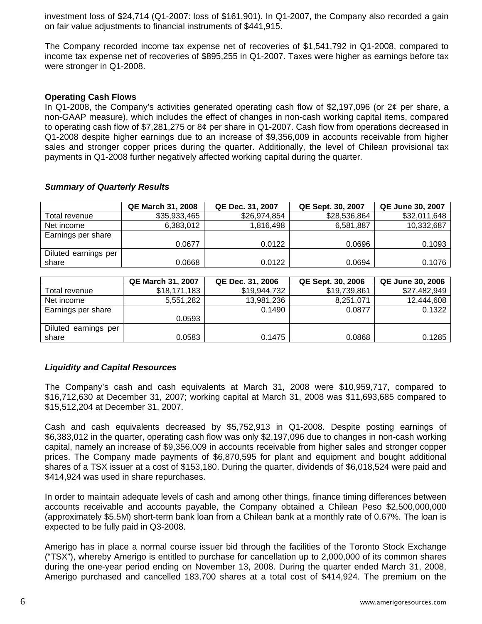investment loss of \$24,714 (Q1-2007: loss of \$161,901). In Q1-2007, the Company also recorded a gain on fair value adjustments to financial instruments of \$441,915.

The Company recorded income tax expense net of recoveries of \$1,541,792 in Q1-2008, compared to income tax expense net of recoveries of \$895,255 in Q1-2007. Taxes were higher as earnings before tax were stronger in Q1-2008.

# **Operating Cash Flows**

In Q1-2008, the Company's activities generated operating cash flow of \$2,197,096 (or 2¢ per share, a non-GAAP measure), which includes the effect of changes in non-cash working capital items, compared to operating cash flow of \$7,281,275 or 8¢ per share in Q1-2007. Cash flow from operations decreased in Q1-2008 despite higher earnings due to an increase of \$9,356,009 in accounts receivable from higher sales and stronger copper prices during the quarter. Additionally, the level of Chilean provisional tax payments in Q1-2008 further negatively affected working capital during the quarter.

|                      | <b>QE March 31, 2008</b> | QE Dec. 31, 2007 | <b>QE Sept. 30, 2007</b> | <b>QE June 30, 2007</b> |
|----------------------|--------------------------|------------------|--------------------------|-------------------------|
| Total revenue        | \$35,933,465             | \$26,974,854     | \$28,536,864             | \$32,011,648            |
| Net income           | 6,383,012                | 1.816.498        | 6,581,887                | 10,332,687              |
| Earnings per share   |                          |                  |                          |                         |
|                      | 0.0677                   | 0.0122           | 0.0696                   | 0.1093                  |
| Diluted earnings per |                          |                  |                          |                         |
| share                | 0.0668                   | 0.0122           | 0.0694                   | 0.1076                  |

## *Summary of Quarterly Results*

|                      | <b>QE March 31, 2007</b> | QE Dec. 31, 2006 | QE Sept. 30, 2006 | <b>QE June 30, 2006</b> |
|----------------------|--------------------------|------------------|-------------------|-------------------------|
| Total revenue        | \$18,171,183             | \$19,944,732     | \$19,739,861      | \$27,482,949            |
| Net income           | 5,551,282                | 13,981,236       | 8,251,071         | 12,444,608              |
| Earnings per share   |                          | 0.1490           | 0.0877            | 0.1322                  |
|                      | 0.0593                   |                  |                   |                         |
| Diluted earnings per |                          |                  |                   |                         |
| share                | 0.0583                   | 0.1475           | 0.0868            | 0.1285                  |

# *Liquidity and Capital Resources*

The Company's cash and cash equivalents at March 31, 2008 were \$10,959,717, compared to \$16,712,630 at December 31, 2007; working capital at March 31, 2008 was \$11,693,685 compared to \$15,512,204 at December 31, 2007.

Cash and cash equivalents decreased by \$5,752,913 in Q1-2008. Despite posting earnings of \$6,383,012 in the quarter, operating cash flow was only \$2,197,096 due to changes in non-cash working capital, namely an increase of \$9,356,009 in accounts receivable from higher sales and stronger copper prices. The Company made payments of \$6,870,595 for plant and equipment and bought additional shares of a TSX issuer at a cost of \$153,180. During the quarter, dividends of \$6,018,524 were paid and \$414,924 was used in share repurchases.

In order to maintain adequate levels of cash and among other things, finance timing differences between accounts receivable and accounts payable, the Company obtained a Chilean Peso \$2,500,000,000 (approximately \$5.5M) short-term bank loan from a Chilean bank at a monthly rate of 0.67%. The loan is expected to be fully paid in Q3-2008.

Amerigo has in place a normal course issuer bid through the facilities of the Toronto Stock Exchange ("TSX"), whereby Amerigo is entitled to purchase for cancellation up to 2,000,000 of its common shares during the one-year period ending on November 13, 2008. During the quarter ended March 31, 2008, Amerigo purchased and cancelled 183,700 shares at a total cost of \$414,924. The premium on the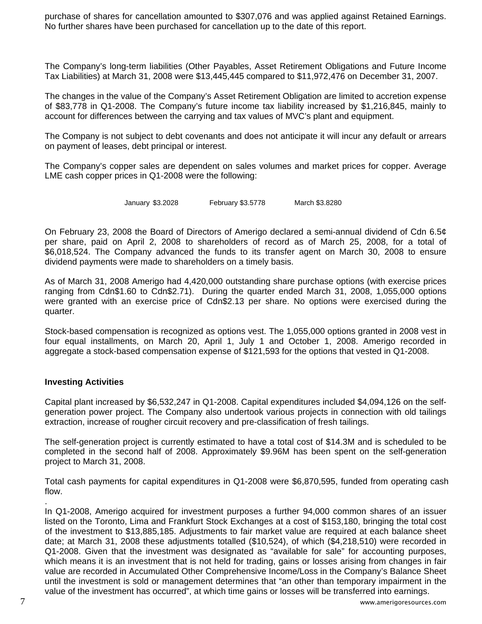purchase of shares for cancellation amounted to \$307,076 and was applied against Retained Earnings. No further shares have been purchased for cancellation up to the date of this report.

The Company's long-term liabilities (Other Payables, Asset Retirement Obligations and Future Income Tax Liabilities) at March 31, 2008 were \$13,445,445 compared to \$11,972,476 on December 31, 2007.

The changes in the value of the Company's Asset Retirement Obligation are limited to accretion expense of \$83,778 in Q1-2008. The Company's future income tax liability increased by \$1,216,845, mainly to account for differences between the carrying and tax values of MVC's plant and equipment.

The Company is not subject to debt covenants and does not anticipate it will incur any default or arrears on payment of leases, debt principal or interest.

The Company's copper sales are dependent on sales volumes and market prices for copper. Average LME cash copper prices in Q1-2008 were the following:

January \$3.2028 February \$3.5778 March \$3.8280

On February 23, 2008 the Board of Directors of Amerigo declared a semi-annual dividend of Cdn 6.5¢ per share, paid on April 2, 2008 to shareholders of record as of March 25, 2008, for a total of \$6,018,524. The Company advanced the funds to its transfer agent on March 30, 2008 to ensure dividend payments were made to shareholders on a timely basis.

As of March 31, 2008 Amerigo had 4,420,000 outstanding share purchase options (with exercise prices ranging from Cdn\$1.60 to Cdn\$2.71). During the quarter ended March 31, 2008, 1,055,000 options were granted with an exercise price of Cdn\$2.13 per share. No options were exercised during the quarter.

Stock-based compensation is recognized as options vest. The 1,055,000 options granted in 2008 vest in four equal installments, on March 20, April 1, July 1 and October 1, 2008. Amerigo recorded in aggregate a stock-based compensation expense of \$121,593 for the options that vested in Q1-2008.

#### **Investing Activities**

Capital plant increased by \$6,532,247 in Q1-2008. Capital expenditures included \$4,094,126 on the selfgeneration power project. The Company also undertook various projects in connection with old tailings extraction, increase of rougher circuit recovery and pre-classification of fresh tailings.

The self-generation project is currently estimated to have a total cost of \$14.3M and is scheduled to be completed in the second half of 2008. Approximately \$9.96M has been spent on the self-generation project to March 31, 2008.

Total cash payments for capital expenditures in Q1-2008 were \$6,870,595, funded from operating cash flow.

In Q1-2008, Amerigo acquired for investment purposes a further 94,000 common shares of an issuer listed on the Toronto, Lima and Frankfurt Stock Exchanges at a cost of \$153,180, bringing the total cost of the investment to \$13,885,185. Adjustments to fair market value are required at each balance sheet date; at March 31, 2008 these adjustments totalled (\$10,524), of which (\$4,218,510) were recorded in Q1-2008. Given that the investment was designated as "available for sale" for accounting purposes, which means it is an investment that is not held for trading, gains or losses arising from changes in fair value are recorded in Accumulated Other Comprehensive Income/Loss in the Company's Balance Sheet until the investment is sold or management determines that "an other than temporary impairment in the value of the investment has occurred", at which time gains or losses will be transferred into earnings.

.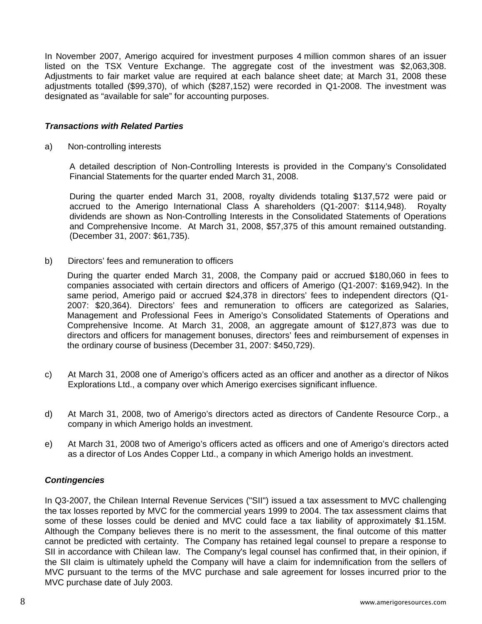In November 2007, Amerigo acquired for investment purposes 4 million common shares of an issuer listed on the TSX Venture Exchange. The aggregate cost of the investment was \$2,063,308. Adjustments to fair market value are required at each balance sheet date; at March 31, 2008 these adjustments totalled (\$99,370), of which (\$287,152) were recorded in Q1-2008. The investment was designated as "available for sale" for accounting purposes.

## *Transactions with Related Parties*

a) Non-controlling interests

A detailed description of Non-Controlling Interests is provided in the Company's Consolidated Financial Statements for the quarter ended March 31, 2008.

During the quarter ended March 31, 2008, royalty dividends totaling \$137,572 were paid or accrued to the Amerigo International Class A shareholders (Q1-2007: \$114,948). Royalty dividends are shown as Non-Controlling Interests in the Consolidated Statements of Operations and Comprehensive Income. At March 31, 2008, \$57,375 of this amount remained outstanding. (December 31, 2007: \$61,735).

b) Directors' fees and remuneration to officers

 During the quarter ended March 31, 2008, the Company paid or accrued \$180,060 in fees to companies associated with certain directors and officers of Amerigo (Q1-2007: \$169,942). In the same period, Amerigo paid or accrued \$24,378 in directors' fees to independent directors (Q1- 2007: \$20,364). Directors' fees and remuneration to officers are categorized as Salaries, Management and Professional Fees in Amerigo's Consolidated Statements of Operations and Comprehensive Income. At March 31, 2008, an aggregate amount of \$127,873 was due to directors and officers for management bonuses, directors' fees and reimbursement of expenses in the ordinary course of business (December 31, 2007: \$450,729).

- c) At March 31, 2008 one of Amerigo's officers acted as an officer and another as a director of Nikos Explorations Ltd., a company over which Amerigo exercises significant influence.
- d) At March 31, 2008, two of Amerigo's directors acted as directors of Candente Resource Corp., a company in which Amerigo holds an investment.
- e) At March 31, 2008 two of Amerigo's officers acted as officers and one of Amerigo's directors acted as a director of Los Andes Copper Ltd., a company in which Amerigo holds an investment.

#### *Contingencies*

In Q3-2007, the Chilean Internal Revenue Services ("SII") issued a tax assessment to MVC challenging the tax losses reported by MVC for the commercial years 1999 to 2004. The tax assessment claims that some of these losses could be denied and MVC could face a tax liability of approximately \$1.15M. Although the Company believes there is no merit to the assessment, the final outcome of this matter cannot be predicted with certainty. The Company has retained legal counsel to prepare a response to SII in accordance with Chilean law. The Company's legal counsel has confirmed that, in their opinion, if the SII claim is ultimately upheld the Company will have a claim for indemnification from the sellers of MVC pursuant to the terms of the MVC purchase and sale agreement for losses incurred prior to the MVC purchase date of July 2003.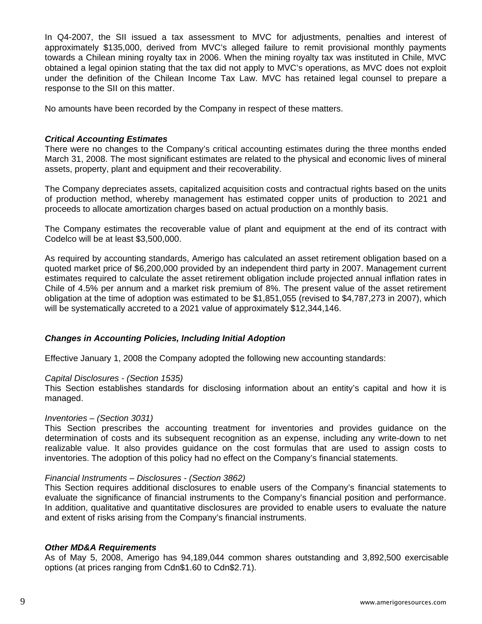In Q4-2007, the SII issued a tax assessment to MVC for adjustments, penalties and interest of approximately \$135,000, derived from MVC's alleged failure to remit provisional monthly payments towards a Chilean mining royalty tax in 2006. When the mining royalty tax was instituted in Chile, MVC obtained a legal opinion stating that the tax did not apply to MVC's operations, as MVC does not exploit under the definition of the Chilean Income Tax Law. MVC has retained legal counsel to prepare a response to the SII on this matter.

No amounts have been recorded by the Company in respect of these matters.

### *Critical Accounting Estimates*

There were no changes to the Company's critical accounting estimates during the three months ended March 31, 2008. The most significant estimates are related to the physical and economic lives of mineral assets, property, plant and equipment and their recoverability.

The Company depreciates assets, capitalized acquisition costs and contractual rights based on the units of production method, whereby management has estimated copper units of production to 2021 and proceeds to allocate amortization charges based on actual production on a monthly basis.

The Company estimates the recoverable value of plant and equipment at the end of its contract with Codelco will be at least \$3,500,000.

As required by accounting standards, Amerigo has calculated an asset retirement obligation based on a quoted market price of \$6,200,000 provided by an independent third party in 2007. Management current estimates required to calculate the asset retirement obligation include projected annual inflation rates in Chile of 4.5% per annum and a market risk premium of 8%. The present value of the asset retirement obligation at the time of adoption was estimated to be \$1,851,055 (revised to \$4,787,273 in 2007), which will be systematically accreted to a 2021 value of approximately \$12,344,146.

#### *Changes in Accounting Policies, Including Initial Adoption*

Effective January 1, 2008 the Company adopted the following new accounting standards:

#### *Capital Disclosures - (Section 1535)*

This Section establishes standards for disclosing information about an entity's capital and how it is managed.

#### *Inventories – (Section 3031)*

This Section prescribes the accounting treatment for inventories and provides guidance on the determination of costs and its subsequent recognition as an expense, including any write-down to net realizable value. It also provides guidance on the cost formulas that are used to assign costs to inventories. The adoption of this policy had no effect on the Company's financial statements.

#### *Financial Instruments – Disclosures - (Section 3862)*

This Section requires additional disclosures to enable users of the Company's financial statements to evaluate the significance of financial instruments to the Company's financial position and performance. In addition, qualitative and quantitative disclosures are provided to enable users to evaluate the nature and extent of risks arising from the Company's financial instruments.

#### *Other MD&A Requirements*

As of May 5, 2008, Amerigo has 94,189,044 common shares outstanding and 3,892,500 exercisable options (at prices ranging from Cdn\$1.60 to Cdn\$2.71).